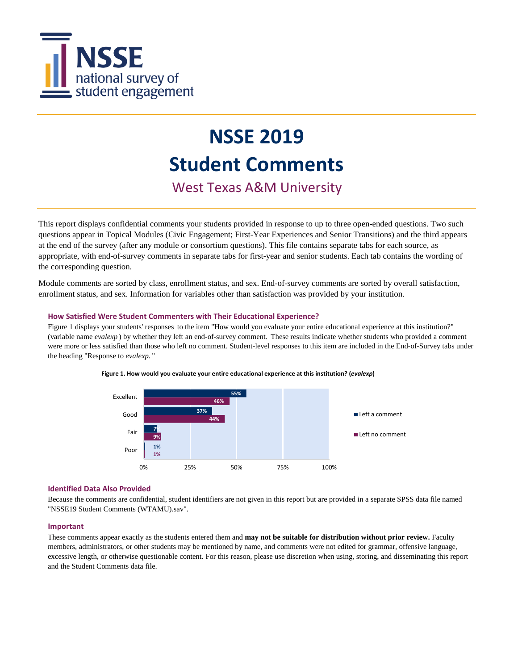

West Texas A&M University

This report displays confidential comments your students provided in response to up to three open-ended questions. Two such questions appear in Topical Modules (Civic Engagement; First-Year Experiences and Senior Transitions) and the third appears at the end of the survey (after any module or consortium questions). This file contains separate tabs for each source, as appropriate, with end-of-survey comments in separate tabs for first-year and senior students. Each tab contains the wording of the corresponding question.

Module comments are sorted by class, enrollment status, and sex. End-of-survey comments are sorted by overall satisfaction, enrollment status, and sex. Information for variables other than satisfaction was provided by your institution.

#### **How Satisfied Were Student Commenters with Their Educational Experience?**

Figure 1 displays your students' responses to the item "How would you evaluate your entire educational experience at this institution?" (variable name *evalexp* ) by whether they left an end-of-survey comment*.* These results indicate whether students who provided a comment were more or less satisfied than those who left no comment. Student-level responses to this item are included in the End-of-Survey tabs under the heading "Response to *evalexp.* "



#### **Figure 1. How would you evaluate your entire educational experience at this institution? (***evalexp***)**

#### **Identified Data Also Provided**

Because the comments are confidential, student identifiers are not given in this report but are provided in a separate SPSS data file named "NSSE19 Student Comments (WTAMU).sav".

#### **Important**

These comments appear exactly as the students entered them and **may not be suitable for distribution without prior review.** Faculty members, administrators, or other students may be mentioned by name, and comments were not edited for grammar, offensive language, excessive length, or otherwise questionable content. For this reason, please use discretion when using, storing, and disseminating this report and the Student Comments data file.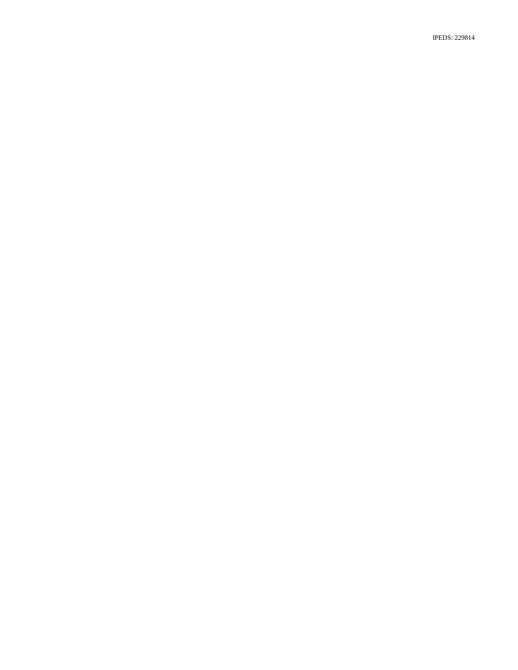IPEDS: 229814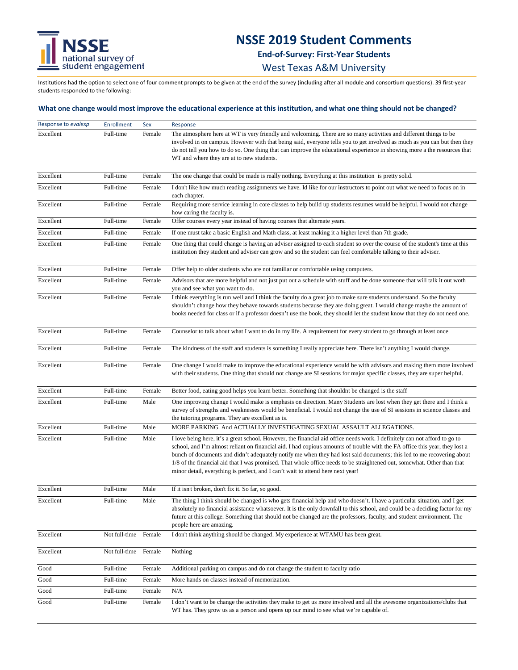## **NSSE 2019 Student Comments**

**End-of-Survey: First-Year Students**

West Texas A&M University

Institutions had the option to select one of four comment prompts to be given at the end of the survey (including after all module and consortium questions). 39 first-year students responded to the following:

| Response to evalexp | <b>Enrollment</b> | Sex    | Response                                                                                                                                                                                                                                                                                                                                                                                                                                                                                                                                                                                         |
|---------------------|-------------------|--------|--------------------------------------------------------------------------------------------------------------------------------------------------------------------------------------------------------------------------------------------------------------------------------------------------------------------------------------------------------------------------------------------------------------------------------------------------------------------------------------------------------------------------------------------------------------------------------------------------|
| Excellent           | Full-time         | Female | The atmosphere here at WT is very friendly and welcoming. There are so many activities and different things to be<br>involved in on campus. However with that being said, everyone tells you to get involved as much as you can but then they<br>do not tell you how to do so. One thing that can improve the educational experience in showing more a the resources that<br>WT and where they are at to new students.                                                                                                                                                                           |
| Excellent           | Full-time         | Female | The one change that could be made is really nothing. Everything at this institution is pretty solid.                                                                                                                                                                                                                                                                                                                                                                                                                                                                                             |
| Excellent           | Full-time         | Female | I don't like how much reading assignments we have. Id like for our instructors to point out what we need to focus on in<br>each chapter.                                                                                                                                                                                                                                                                                                                                                                                                                                                         |
| Excellent           | Full-time         | Female | Requiring more service learning in core classes to help build up students resumes would be helpful. I would not change<br>how caring the faculty is.                                                                                                                                                                                                                                                                                                                                                                                                                                             |
| Excellent           | Full-time         | Female | Offer courses every year instead of having courses that alternate years.                                                                                                                                                                                                                                                                                                                                                                                                                                                                                                                         |
| Excellent           | Full-time         | Female | If one must take a basic English and Math class, at least making it a higher level than 7th grade.                                                                                                                                                                                                                                                                                                                                                                                                                                                                                               |
| Excellent           | Full-time         | Female | One thing that could change is having an adviser assigned to each student so over the course of the student's time at this<br>institution they student and adviser can grow and so the student can feel comfortable talking to their adviser.                                                                                                                                                                                                                                                                                                                                                    |
| Excellent           | Full-time         | Female | Offer help to older students who are not familiar or comfortable using computers.                                                                                                                                                                                                                                                                                                                                                                                                                                                                                                                |
| Excellent           | Full-time         | Female | Advisors that are more helpful and not just put out a schedule with stuff and be done someone that will talk it out woth<br>you and see what you want to do.                                                                                                                                                                                                                                                                                                                                                                                                                                     |
| Excellent           | Full-time         | Female | I think everything is run well and I think the faculty do a great job to make sure students understand. So the faculty<br>shouldn't change how they behave towards students because they are doing great. I would change maybe the amount of<br>books needed for class or if a professor doesn't use the book, they should let the student know that they do not need one.                                                                                                                                                                                                                       |
| Excellent           | Full-time         | Female | Counselor to talk about what I want to do in my life. A requirement for every student to go through at least once                                                                                                                                                                                                                                                                                                                                                                                                                                                                                |
| Excellent           | Full-time         | Female | The kindness of the staff and students is something I really appreciate here. There isn't anything I would change.                                                                                                                                                                                                                                                                                                                                                                                                                                                                               |
| Excellent           | Full-time         | Female | One change I would make to improve the educational experience would be with advisors and making them more involved<br>with their students. One thing that should not change are SI sessions for major specific classes, they are super helpful.                                                                                                                                                                                                                                                                                                                                                  |
| Excellent           | Full-time         | Female | Better food, eating good helps you learn better. Something that shouldnt be changed is the staff                                                                                                                                                                                                                                                                                                                                                                                                                                                                                                 |
| Excellent           | Full-time         | Male   | One improving change I would make is emphasis on direction. Many Students are lost when they get there and I think a<br>survey of strengths and weaknesses would be beneficial. I would not change the use of SI sessions in science classes and<br>the tutoring programs. They are excellent as is.                                                                                                                                                                                                                                                                                             |
| Excellent           | Full-time         | Male   | MORE PARKING. And ACTUALLY INVESTIGATING SEXUAL ASSAULT ALLEGATIONS.                                                                                                                                                                                                                                                                                                                                                                                                                                                                                                                             |
| Excellent           | Full-time         | Male   | I love being here, it's a great school. However, the financial aid office needs work. I definitely can not afford to go to<br>school, and I'm almost reliant on financial aid. I had copious amounts of trouble with the FA office this year, they lost a<br>bunch of documents and didn't adequately notify me when they had lost said documents; this led to me recovering about<br>1/8 of the financial aid that I was promised. That whole office needs to be straightened out, somewhat. Other than that<br>minor detail, everything is perfect, and I can't wait to attend here next year! |
| Excellent           | Full-time         | Male   | If it isn't broken, don't fix it. So far, so good.                                                                                                                                                                                                                                                                                                                                                                                                                                                                                                                                               |
| Excellent           | Full-time         | Male   | The thing I think should be changed is who gets financial help and who doesn't. I have a particular situation, and I get<br>absolutely no financial assistance whatsoever. It is the only downfall to this school, and could be a deciding factor for my<br>future at this college. Something that should not be changed are the professors, faculty, and student environment. The<br>people here are amazing.                                                                                                                                                                                   |
| Excellent           | Not full-time     | Female | I don't think anything should be changed. My experience at WTAMU has been great.                                                                                                                                                                                                                                                                                                                                                                                                                                                                                                                 |
| Excellent           | Not full-time     | Female | Nothing                                                                                                                                                                                                                                                                                                                                                                                                                                                                                                                                                                                          |
| Good                | Full-time         | Female | Additional parking on campus and do not change the student to faculty ratio                                                                                                                                                                                                                                                                                                                                                                                                                                                                                                                      |
| Good                | Full-time         | Female | More hands on classes instead of memorization.                                                                                                                                                                                                                                                                                                                                                                                                                                                                                                                                                   |
| Good                | Full-time         | Female | N/A                                                                                                                                                                                                                                                                                                                                                                                                                                                                                                                                                                                              |
| Good                | Full-time         | Female | I don't want to be change the activities they make to get us more involved and all the awesome organizations/clubs that<br>WT has. They grow us as a person and opens up our mind to see what we're capable of.                                                                                                                                                                                                                                                                                                                                                                                  |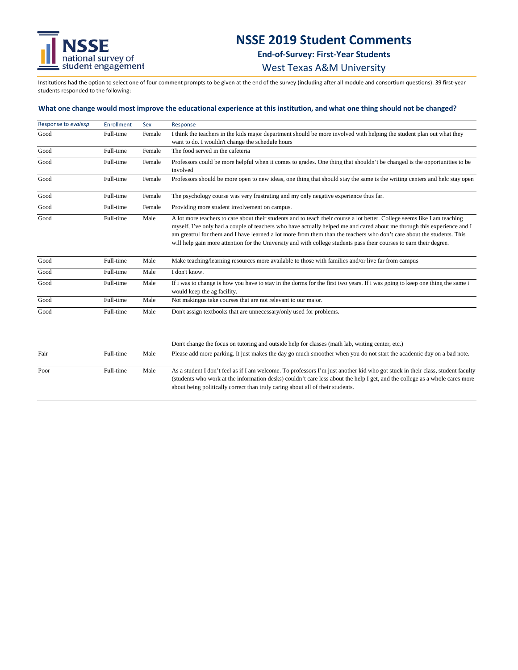## **NSSE 2019 Student Comments**

**End-of-Survey: First-Year Students**

West Texas A&M University

Institutions had the option to select one of four comment prompts to be given at the end of the survey (including after all module and consortium questions). 39 first-year students responded to the following:

| Response to evalexp | Enrollment | <b>Sex</b> | Response                                                                                                                                                                                                                                                                                                                                                                                                                                                                                              |
|---------------------|------------|------------|-------------------------------------------------------------------------------------------------------------------------------------------------------------------------------------------------------------------------------------------------------------------------------------------------------------------------------------------------------------------------------------------------------------------------------------------------------------------------------------------------------|
| Good                | Full-time  | Female     | I think the teachers in the kids major department should be more involved with helping the student plan out what they                                                                                                                                                                                                                                                                                                                                                                                 |
|                     |            |            | want to do. I wouldn't change the schedule hours                                                                                                                                                                                                                                                                                                                                                                                                                                                      |
| Good                | Full-time  | Female     | The food served in the cafeteria                                                                                                                                                                                                                                                                                                                                                                                                                                                                      |
| Good                | Full-time  | Female     | Professors could be more helpful when it comes to grades. One thing that shouldn't be changed is the opportunities to be<br>involved                                                                                                                                                                                                                                                                                                                                                                  |
| Good                | Full-time  | Female     | Professors should be more open to new ideas, one thing that should stay the same is the writing centers and helc stay open                                                                                                                                                                                                                                                                                                                                                                            |
| Good                | Full-time  | Female     | The psychology course was very frustrating and my only negative experience thus far.                                                                                                                                                                                                                                                                                                                                                                                                                  |
| Good                | Full-time  | Female     | Providing more student involvement on campus.                                                                                                                                                                                                                                                                                                                                                                                                                                                         |
| Good                | Full-time  | Male       | A lot more teachers to care about their students and to teach their course a lot better. College seems like I am teaching<br>myself, I've only had a couple of teachers who have actually helped me and cared about me through this experience and I<br>am greatful for them and I have learned a lot more from them than the teachers who don't care about the students. This<br>will help gain more attention for the University and with college students pass their courses to earn their degree. |

| Good | Full-time | Male | Make teaching/learning resources more available to those with families and/or live far from campus                                                          |
|------|-----------|------|-------------------------------------------------------------------------------------------------------------------------------------------------------------|
| Good | Full-time | Male | I don't know.                                                                                                                                               |
| Good | Full-time | Male | If i was to change is how you have to stay in the dorms for the first two years. If i was going to keep one thing the same i<br>would keep the ag facility. |
| Good | Full-time | Male | Not makingus take courses that are not relevant to our major.                                                                                               |
| Good | Full-time | Male | Don't assign textbooks that are unnecessary/only used for problems.                                                                                         |

|      |           |      | Don't change the focus on tutoring and outside help for classes (math lab, writing center, etc.)                                                                                                                                                                                                                                                |
|------|-----------|------|-------------------------------------------------------------------------------------------------------------------------------------------------------------------------------------------------------------------------------------------------------------------------------------------------------------------------------------------------|
| Fair | Full-time | Male | Please add more parking. It just makes the day go much smoother when you do not start the academic day on a bad note.                                                                                                                                                                                                                           |
| Poor | Full-time | Male | As a student I don't feel as if I am welcome. To professors I'm just another kid who got stuck in their class, student faculty<br>(students who work at the information desks) couldn't care less about the help I get, and the college as a whole cares more<br>about being politically correct than truly caring about all of their students. |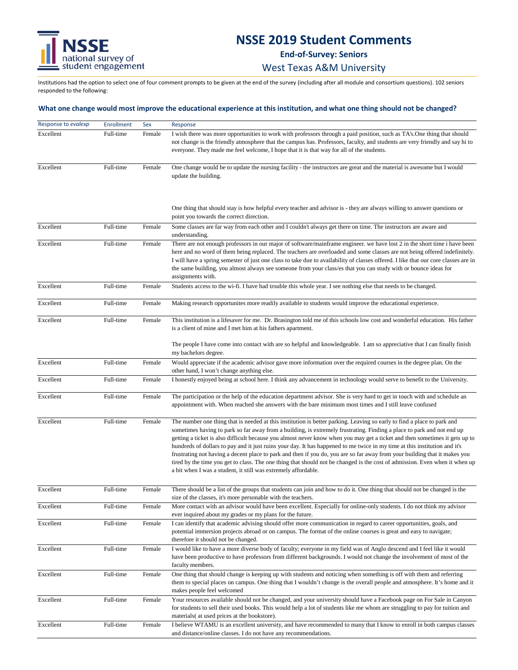

**End-of-Survey: Seniors**

West Texas A&M University

Institutions had the option to select one of four comment prompts to be given at the end of the survey (including after all module and consortium questions). 102 seniors responded to the following:

| Response to evalexp | <b>Enrollment</b> | Sex    | Response                                                                                                                                                                                                                                                                                                                                                                                                                                                                                                                                                                                                                                                                                                                                                                                                                                      |
|---------------------|-------------------|--------|-----------------------------------------------------------------------------------------------------------------------------------------------------------------------------------------------------------------------------------------------------------------------------------------------------------------------------------------------------------------------------------------------------------------------------------------------------------------------------------------------------------------------------------------------------------------------------------------------------------------------------------------------------------------------------------------------------------------------------------------------------------------------------------------------------------------------------------------------|
| Excellent           | Full-time         | Female | I wish there was more opportunities to work with professors through a paid position, such as TA's. One thing that should<br>not change is the friendly atmosphere that the campus has. Professors, faculty, and students are very friendly and say hi to<br>everyone. They made me feel welcome, I hope that it is that way for all of the students.                                                                                                                                                                                                                                                                                                                                                                                                                                                                                          |
| Excellent           | Full-time         | Female | One change would be to update the nursing facility - the instructors are great and the material is awesome but I would<br>update the building.                                                                                                                                                                                                                                                                                                                                                                                                                                                                                                                                                                                                                                                                                                |
|                     |                   |        | One thing that should stay is how helpful every teacher and advisor is - they are always willing to answer questions or<br>point you towards the correct direction.                                                                                                                                                                                                                                                                                                                                                                                                                                                                                                                                                                                                                                                                           |
| Excellent           | Full-time         | Female | Some classes are far way from each other and I couldn't always get there on time. The instructors are aware and<br>understanding.                                                                                                                                                                                                                                                                                                                                                                                                                                                                                                                                                                                                                                                                                                             |
| Excellent           | Full-time         | Female | There are not enough professors in our major of software/mainframe engineer, we have lost 2 in the short time i have been<br>here and no word of them being replaced. The teachers are overloaded and some classes are not being offered indefinitely.<br>I will have a spring semester of just one class to take due to availability of classes offered. I like that our core classes are in<br>the same building, you almost always see someone from your class/es that you can study with or bounce ideas for<br>assignments with.                                                                                                                                                                                                                                                                                                         |
| Excellent           | Full-time         | Female | Students access to the wi-fi. I have had trouble this whole year. I see nothing else that needs to be changed.                                                                                                                                                                                                                                                                                                                                                                                                                                                                                                                                                                                                                                                                                                                                |
| Excellent           | Full-time         | Female | Making research opportunites more readily available to students would improve the educational experience.                                                                                                                                                                                                                                                                                                                                                                                                                                                                                                                                                                                                                                                                                                                                     |
| Excellent           | Full-time         | Female | This institution is a lifesaver for me. Dr. Brasington told me of this schools low cost and wonderful education. His father<br>is a client of mine and I met him at his fathers apartment.                                                                                                                                                                                                                                                                                                                                                                                                                                                                                                                                                                                                                                                    |
|                     |                   |        | The people I have come into contact with are so helpful and knowledgeable. I am so appreciative that I can finally finish<br>my bachelors degree.                                                                                                                                                                                                                                                                                                                                                                                                                                                                                                                                                                                                                                                                                             |
| Excellent           | Full-time         | Female | Would appreciate if the academic advisor gave more information over the required courses in the degree plan. On the<br>other hand, I won't change anything else.                                                                                                                                                                                                                                                                                                                                                                                                                                                                                                                                                                                                                                                                              |
| Excellent           | Full-time         | Female | I honestly enjoyed being at school here. I think any advancement in technology would serve to benefit to the University.                                                                                                                                                                                                                                                                                                                                                                                                                                                                                                                                                                                                                                                                                                                      |
| Excellent           | Full-time         | Female | The participation or the help of the education department advisor. She is very hard to get in touch with and schedule an<br>appointment with. When reached she answers with the bare minimum most times and I still leave confused                                                                                                                                                                                                                                                                                                                                                                                                                                                                                                                                                                                                            |
| Excellent           | Full-time         | Female | The number one thing that is needed at this institution is better parking. Leaving so early to find a place to park and<br>sometimes having to park so far away from a building, is extremely frustrating. Finding a place to park and not end up<br>getting a ticket is also difficult because you almost never know when you may get a ticket and then sometimes it gets up to<br>hundreds of dollars to pay and it just ruins your day. It has happened to me twice in my time at this institution and it's<br>frustrating not having a decent place to park and then if you do, you are so far away from your building that it makes you<br>tired by the time you get to class. The one thing that should not be changed is the cost of admission. Even when it when up<br>a bit when I was a student, it still was extremely affordable. |
| Excellent           | Full-time         | Female | There should be a list of the groups that students can join and how to do it. One thing that should not be changed is the<br>size of the classes, it's more personable with the teachers.                                                                                                                                                                                                                                                                                                                                                                                                                                                                                                                                                                                                                                                     |
| Excellent           | Full-time         | Female | More contact with an advisor would have been excellent. Especially for online-only students. I do not think my advisor<br>ever inquired about my grades or my plans for the future.                                                                                                                                                                                                                                                                                                                                                                                                                                                                                                                                                                                                                                                           |
| Excellent           | Full-time         | Female | I can identify that academic advising should offer more communication in regard to career opportunities, goals, and<br>potential immersion projects abroad or on campus. The format of the online courses is great and easy to navigate;<br>therefore it should not be changed.                                                                                                                                                                                                                                                                                                                                                                                                                                                                                                                                                               |
| Excellent           | Full-time         | Female | I would like to have a more diverse body of faculty; everyone in my field was of Anglo descend and I feel like it would<br>have been productive to have professors from different backgrounds. I would not change the involvement of most of the<br>faculty members.                                                                                                                                                                                                                                                                                                                                                                                                                                                                                                                                                                          |
| Excellent           | Full-time         | Female | One thing that should change is keeping up with students and noticing when something is off with them and referring<br>them to special places on campus. One thing that I wouldn't change is the overall people and atmosphere. It's home and it<br>makes people feel welcomed                                                                                                                                                                                                                                                                                                                                                                                                                                                                                                                                                                |
| Excellent           | Full-time         | Female | Your resources available should not be changed, and your university should have a Facebook page on For Sale in Canyon<br>for students to sell their used books. This would help a lot of students like me whom are struggling to pay for tuition and<br>materials( at used prices at the bookstore).                                                                                                                                                                                                                                                                                                                                                                                                                                                                                                                                          |
| Excellent           | Full-time         | Female | I believe WTAMU is an excellent university, and have recommended to many that I know to enroll in both campus classes<br>and distance/online classes. I do not have any recommendations.                                                                                                                                                                                                                                                                                                                                                                                                                                                                                                                                                                                                                                                      |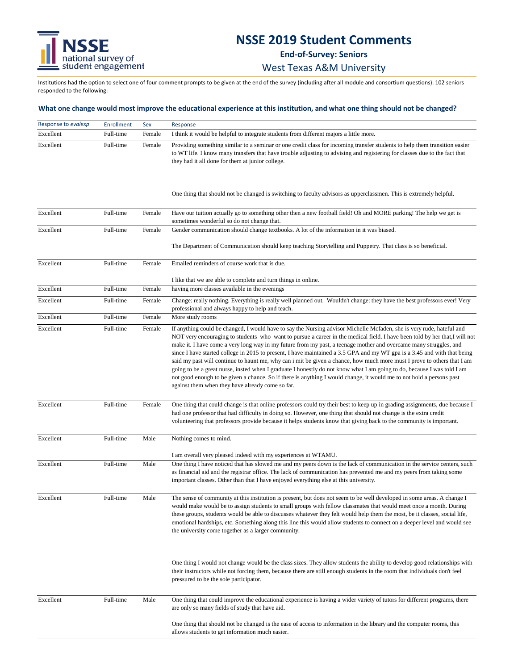

**End-of-Survey: Seniors**

West Texas A&M University

Institutions had the option to select one of four comment prompts to be given at the end of the survey (including after all module and consortium questions). 102 seniors responded to the following:

| Response to evalexp | <b>Enrollment</b> | Sex    | Response                                                                                                                                                                                                                                                                                                                                                                                                                                                                                                                                                                                                                                                                                                                                                                                                                                                                                                                                |
|---------------------|-------------------|--------|-----------------------------------------------------------------------------------------------------------------------------------------------------------------------------------------------------------------------------------------------------------------------------------------------------------------------------------------------------------------------------------------------------------------------------------------------------------------------------------------------------------------------------------------------------------------------------------------------------------------------------------------------------------------------------------------------------------------------------------------------------------------------------------------------------------------------------------------------------------------------------------------------------------------------------------------|
| Excellent           | Full-time         | Female | I think it would be helpful to integrate students from different majors a little more.                                                                                                                                                                                                                                                                                                                                                                                                                                                                                                                                                                                                                                                                                                                                                                                                                                                  |
| Excellent           | Full-time         | Female | Providing something similar to a seminar or one credit class for incoming transfer students to help them transition easier<br>to WT life. I know many transfers that have trouble adjusting to advising and registering for classes due to the fact that<br>they had it all done for them at junior college.                                                                                                                                                                                                                                                                                                                                                                                                                                                                                                                                                                                                                            |
|                     |                   |        | One thing that should not be changed is switching to faculty advisors as upperclassmen. This is extremely helpful.                                                                                                                                                                                                                                                                                                                                                                                                                                                                                                                                                                                                                                                                                                                                                                                                                      |
| Excellent           | Full-time         | Female | Have our tuition actually go to something other then a new football field! Oh and MORE parking! The help we get is<br>sometimes wonderful so do not change that.                                                                                                                                                                                                                                                                                                                                                                                                                                                                                                                                                                                                                                                                                                                                                                        |
| Excellent           | Full-time         | Female | Gender communication should change textbooks. A lot of the information in it was biased.                                                                                                                                                                                                                                                                                                                                                                                                                                                                                                                                                                                                                                                                                                                                                                                                                                                |
|                     |                   |        | The Department of Communication should keep teaching Storytelling and Puppetry. That class is so beneficial.                                                                                                                                                                                                                                                                                                                                                                                                                                                                                                                                                                                                                                                                                                                                                                                                                            |
| Excellent           | Full-time         | Female | Emailed reminders of course work that is due.                                                                                                                                                                                                                                                                                                                                                                                                                                                                                                                                                                                                                                                                                                                                                                                                                                                                                           |
|                     |                   |        | I like that we are able to complete and turn things in online.                                                                                                                                                                                                                                                                                                                                                                                                                                                                                                                                                                                                                                                                                                                                                                                                                                                                          |
| Excellent           | Full-time         | Female | having more classes available in the evenings                                                                                                                                                                                                                                                                                                                                                                                                                                                                                                                                                                                                                                                                                                                                                                                                                                                                                           |
| Excellent           | Full-time         | Female | Change: really nothing. Everything is really well planned out. Wouldn't change: they have the best professors ever! Very<br>professional and always happy to help and teach.                                                                                                                                                                                                                                                                                                                                                                                                                                                                                                                                                                                                                                                                                                                                                            |
| Excellent           | Full-time         | Female | More study rooms                                                                                                                                                                                                                                                                                                                                                                                                                                                                                                                                                                                                                                                                                                                                                                                                                                                                                                                        |
| Excellent           | Full-time         | Female | If anything could be changed, I would have to say the Nursing advisor Michelle Mcfaden, she is very rude, hateful and<br>NOT very encouraging to students who want to pursue a career in the medical field. I have been told by her that, I will not<br>make it. I have come a very long way in my future from my past, a teenage mother and overcame many struggles, and<br>since I have started college in 2015 to present, I have maintained a 3.5 GPA and my WT gpa is a 3.45 and with that being<br>said my past will continue to haunt me, why can i mit be given a chance, how much more must I prove to others that I am<br>going to be a great nurse, insted when I graduate I honestly do not know what I am going to do, because I was told I am<br>not good enough to be given a chance. So if there is anything I would change, it would me to not hold a persons past<br>against them when they have already come so far. |
| Excellent           | Full-time         | Female | One thing that could change is that online professors could try their best to keep up in grading assignments, due because I<br>had one professor that had difficulty in doing so. However, one thing that should not change is the extra credit<br>volunteering that professors provide because it helps students know that giving back to the community is important.                                                                                                                                                                                                                                                                                                                                                                                                                                                                                                                                                                  |
| Excellent           | Full-time         | Male   | Nothing comes to mind.                                                                                                                                                                                                                                                                                                                                                                                                                                                                                                                                                                                                                                                                                                                                                                                                                                                                                                                  |
|                     |                   |        | I am overall very pleased indeed with my experiences at WTAMU.                                                                                                                                                                                                                                                                                                                                                                                                                                                                                                                                                                                                                                                                                                                                                                                                                                                                          |
| Excellent           | Full-time         | Male   | One thing I have noticed that has slowed me and my peers down is the lack of communication in the service centers, such<br>as financial aid and the registrar office. The lack of communication has prevented me and my peers from taking some<br>important classes. Other than that I have enjoyed everything else at this university.                                                                                                                                                                                                                                                                                                                                                                                                                                                                                                                                                                                                 |
| Excellent           | Full-time         | Male   | The sense of community at this institution is present, but does not seem to be well developed in some areas. A change I<br>would make would be to assign students to small groups with fellow classmates that would meet once a month. During<br>these groups, students would be able to discusses whatever they felt would help them the most, be it classes, social life,<br>emotional hardships, etc. Something along this line this would allow students to connect on a deeper level and would see<br>the university come together as a larger community.                                                                                                                                                                                                                                                                                                                                                                          |
|                     |                   |        | One thing I would not change would be the class sizes. They allow students the ability to develop good relationships with<br>their instructors while not forcing them, because there are still enough students in the room that individuals don't feel<br>pressured to be the sole participator.                                                                                                                                                                                                                                                                                                                                                                                                                                                                                                                                                                                                                                        |
| Excellent           | Full-time         | Male   | One thing that could improve the educational experience is having a wider variety of tutors for different programs, there<br>are only so many fields of study that have aid.                                                                                                                                                                                                                                                                                                                                                                                                                                                                                                                                                                                                                                                                                                                                                            |
|                     |                   |        | One thing that should not be changed is the ease of access to information in the library and the computer rooms, this<br>allows students to get information much easier.                                                                                                                                                                                                                                                                                                                                                                                                                                                                                                                                                                                                                                                                                                                                                                |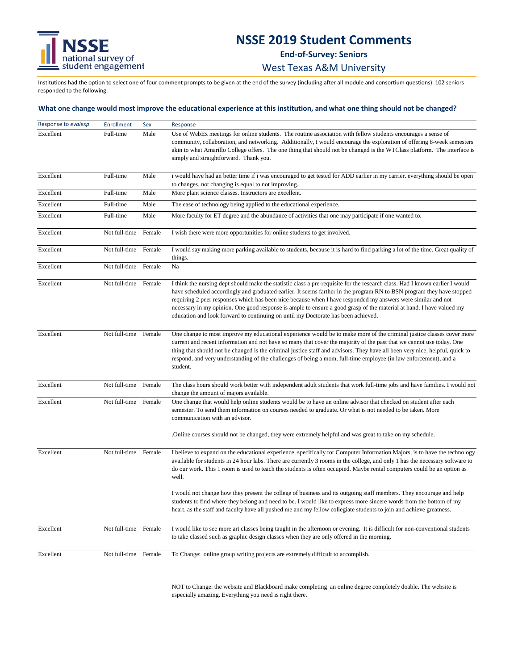## **NSSE 2019 Student Comments**

**End-of-Survey: Seniors**

West Texas A&M University

Institutions had the option to select one of four comment prompts to be given at the end of the survey (including after all module and consortium questions). 102 seniors responded to the following:

#### **What one change would most improve the educational experience at this institution, and what one thing should not be changed?**

| Response to evalexp | <b>Enrollment</b>    | Sex    | Response                                                                                                                                                                                                                                                                                                                                                                                                                                                                                                                                                                           |
|---------------------|----------------------|--------|------------------------------------------------------------------------------------------------------------------------------------------------------------------------------------------------------------------------------------------------------------------------------------------------------------------------------------------------------------------------------------------------------------------------------------------------------------------------------------------------------------------------------------------------------------------------------------|
| Excellent           | Full-time            | Male   | Use of WebEx meetings for online students. The routine association with fellow students encourages a sense of<br>community, collaboration, and networking. Additionally, I would encourage the exploration of offering 8-week semesters<br>akin to what Amarillo College offers. The one thing that should not be changed is the WTClass platform. The interface is<br>simply and straightforward. Thank you.                                                                                                                                                                      |
| Excellent           | Full-time            | Male   | i would have had an better time if i was encouraged to get tested for ADD earlier in my carrier. everything should be open<br>to changes. not changing is equal to not improving.                                                                                                                                                                                                                                                                                                                                                                                                  |
| Excellent           | Full-time            | Male   | More plant science classes. Instructors are excellent.                                                                                                                                                                                                                                                                                                                                                                                                                                                                                                                             |
| Excellent           | Full-time            | Male   | The ease of technology being applied to the educational experience.                                                                                                                                                                                                                                                                                                                                                                                                                                                                                                                |
| Excellent           | Full-time            | Male   | More faculty for ET degree and the abundance of activities that one may participate if one wanted to.                                                                                                                                                                                                                                                                                                                                                                                                                                                                              |
| Excellent           | Not full-time        | Female | I wish there were more opportunities for online students to get involved.                                                                                                                                                                                                                                                                                                                                                                                                                                                                                                          |
| Excellent           | Not full-time Female |        | I would say making more parking available to students, because it is hard to find parking a lot of the time. Great quality of<br>things.                                                                                                                                                                                                                                                                                                                                                                                                                                           |
| Excellent           | Not full-time Female |        | Na                                                                                                                                                                                                                                                                                                                                                                                                                                                                                                                                                                                 |
| Excellent           | Not full-time        | Female | I think the nursing dept should make the statistic class a pre-requisite for the research class. Had I known earlier I would<br>have scheduled accordingly and graduated earlier. It seems farther in the program RN to BSN program they have stopped<br>requiring 2 peer responses which has been nice because when I have responded my answers were similar and not<br>necessary in my opinion. One good response is ample to ensure a good grasp of the material at hand. I have valued my<br>education and look forward to continuing on until my Doctorate has been achieved. |
| Excellent           | Not full-time        | Female | One change to most improve my educational experience would be to make more of the criminal justice classes cover more<br>current and recent information and not have so many that cover the majority of the past that we cannot use today. One<br>thing that should not be changed is the criminal justice staff and advisors. They have all been very nice, helpful, quick to<br>respond, and very understanding of the challenges of being a mom, full-time employee (in law enforcement), and a<br>student.                                                                     |
| Excellent           | Not full-time        | Female | The class hours should work better with independent adult students that work full-time jobs and have families. I would not<br>change the amount of majors available.                                                                                                                                                                                                                                                                                                                                                                                                               |
| Excellent           | Not full-time Female |        | One change that would help online students would be to have an online advisor that checked on student after each<br>semester. To send them information on courses needed to graduate. Or what is not needed to be taken. More<br>communication with an advisor.                                                                                                                                                                                                                                                                                                                    |
|                     |                      |        | . Online courses should not be changed, they were extremely helpful and was great to take on my schedule.                                                                                                                                                                                                                                                                                                                                                                                                                                                                          |
| Excellent           | Not full-time Female |        | I believe to expand on the educational experience, specifically for Computer Information Majors, is to have the technology<br>available for students in 24 hour labs. There are currently 3 rooms in the college, and only 1 has the necessary software to<br>do our work. This 1 room is used to teach the students is often occupied. Maybe rental computers could be an option as<br>well.                                                                                                                                                                                      |
|                     |                      |        | I would not change how they present the college of business and its outgoing staff members. They encourage and help<br>students to find where they belong and need to be. I would like to express more sincere words from the bottom of my<br>heart, as the staff and faculty have all pushed me and my fellow collegiate students to join and achieve greatness.                                                                                                                                                                                                                  |
| Excellent           | Not full-time Female |        | I would like to see more art classes being taught in the afternoon or evening. It is difficult for non-conventional students<br>to take classed such as graphic design classes when they are only offered in the morning.                                                                                                                                                                                                                                                                                                                                                          |
| Excellent           | Not full-time Female |        | To Change: online group writing projects are extremely difficult to accomplish.                                                                                                                                                                                                                                                                                                                                                                                                                                                                                                    |
|                     |                      |        |                                                                                                                                                                                                                                                                                                                                                                                                                                                                                                                                                                                    |

NOT to Change: the website and Blackboard make completing an online degree completely doable. The website is especially amazing. Everything you need is right there.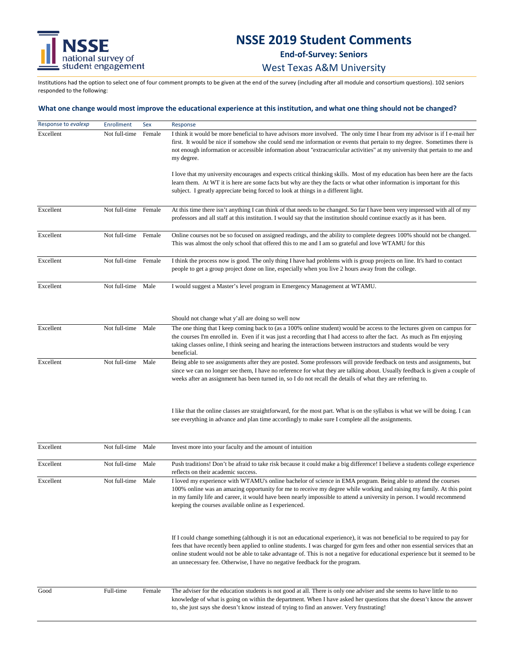

**End-of-Survey: Seniors**

West Texas A&M University

Institutions had the option to select one of four comment prompts to be given at the end of the survey (including after all module and consortium questions). 102 seniors responded to the following:

| Response to evalexp | <b>Enrollment</b>    | Sex    | Response                                                                                                                                                                                                                                                                                                                                                                                                                                                                   |
|---------------------|----------------------|--------|----------------------------------------------------------------------------------------------------------------------------------------------------------------------------------------------------------------------------------------------------------------------------------------------------------------------------------------------------------------------------------------------------------------------------------------------------------------------------|
| Excellent           | Not full-time        | Female | I think it would be more beneficial to have advisors more involved. The only time I hear from my advisor is if I e-mail her<br>first. It would be nice if somehow she could send me information or events that pertain to my degree. Sometimes there is<br>not enough information or accessible information about "extracurricular activities" at my university that pertain to me and<br>my degree.                                                                       |
|                     |                      |        | I love that my university encourages and expects critical thinking skills. Most of my education has been here are the facts<br>learn them. At WT it is here are some facts but why are they the facts or what other information is important for this<br>subject. I greatly appreciate being forced to look at things in a different light.                                                                                                                                |
| Excellent           | Not full-time Female |        | At this time there isn't anything I can think of that needs to be changed. So far I have been very impressed with all of my<br>professors and all staff at this institution. I would say that the institution should continue exactly as it has been.                                                                                                                                                                                                                      |
| Excellent           | Not full-time        | Female | Online courses not be so focused on assigned readings, and the ability to complete degrees 100% should not be changed.<br>This was almost the only school that offered this to me and I am so grateful and love WTAMU for this                                                                                                                                                                                                                                             |
| Excellent           | Not full-time        | Female | I think the process now is good. The only thing I have had problems with is group projects on line. It's hard to contact<br>people to get a group project done on line, especially when you live 2 hours away from the college.                                                                                                                                                                                                                                            |
| Excellent           | Not full-time        | Male   | I would suggest a Master's level program in Emergency Management at WTAMU.                                                                                                                                                                                                                                                                                                                                                                                                 |
|                     |                      |        | Should not change what y'all are doing so well now                                                                                                                                                                                                                                                                                                                                                                                                                         |
| Excellent           | Not full-time Male   |        | The one thing that I keep coming back to (as a 100% online student) would be access to the lectures given on campus for<br>the courses I'm enrolled in. Even if it was just a recording that I had access to after the fact. As much as I'm enjoying<br>taking classes online, I think seeing and hearing the interactions between instructors and students would be very<br>beneficial.                                                                                   |
| Excellent           | Not full-time        | Male   | Being able to see assignments after they are posted. Some professors will provide feedback on tests and assignments, but<br>since we can no longer see them, I have no reference for what they are talking about. Usually feedback is given a couple of<br>weeks after an assignment has been turned in, so I do not recall the details of what they are referring to.                                                                                                     |
|                     |                      |        | I like that the online classes are straightforward, for the most part. What is on the syllabus is what we will be doing. I can<br>see everything in advance and plan time accordingly to make sure I complete all the assignments.                                                                                                                                                                                                                                         |
| Excellent           | Not full-time        | Male   | Invest more into your faculty and the amount of intuition                                                                                                                                                                                                                                                                                                                                                                                                                  |
| Excellent           | Not full-time        | Male   | Push traditions! Don't be afraid to take risk because it could make a big difference! I believe a students college experience<br>reflects on their academic success.                                                                                                                                                                                                                                                                                                       |
| Excellent           | Not full-time        | Male   | I loved my experience with WTAMU's online bachelor of science in EMA program. Being able to attend the courses<br>100% online was an amazing opportunity for me to receive my degree while working and raising my family. At this point<br>in my family life and career, it would have been nearly impossible to attend a university in person. I would recommend<br>keeping the courses available online as I experienced.                                                |
|                     |                      |        | If I could change something (although it is not an educational experience), it was not beneficial to be required to pay for<br>fees that have recently been applied to online students. I was charged for gym fees and other non essential services that an<br>online student would not be able to take advantage of. This is not a negative for educational experience but it seemed to be<br>an unnecessary fee. Otherwise, I have no negative feedback for the program. |
| Good                | Full-time            | Female | The adviser for the education students is not good at all. There is only one adviser and she seems to have little to no<br>knowledge of what is going on within the department. When I have asked her questions that she doesn't know the answer<br>to, she just says she doesn't know instead of trying to find an answer. Very frustrating!                                                                                                                              |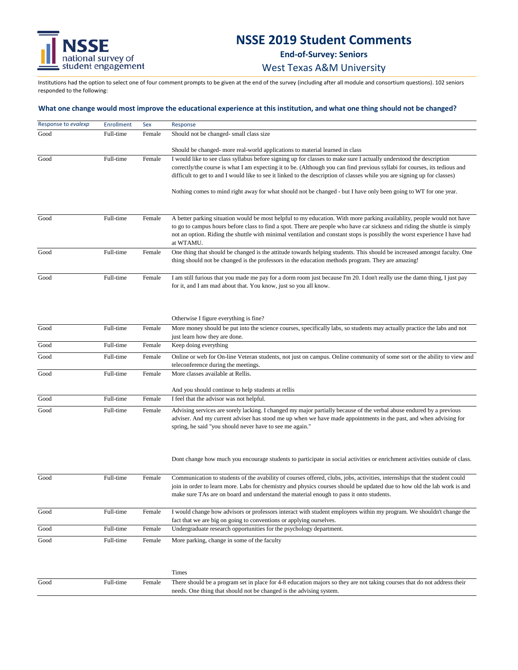## **NSSE 2019 Student Comments**

**End-of-Survey: Seniors**

### West Texas A&M University

Institutions had the option to select one of four comment prompts to be given at the end of the survey (including after all module and consortium questions). 102 seniors responded to the following:

### **What one change would most improve the educational experience at this institution, and what one thing should not be changed?**

| Response to evalexp | Enrollment | Sex    | Response                                                                                                                                                                                                                                                                                                                                                                                                                                                                                           |
|---------------------|------------|--------|----------------------------------------------------------------------------------------------------------------------------------------------------------------------------------------------------------------------------------------------------------------------------------------------------------------------------------------------------------------------------------------------------------------------------------------------------------------------------------------------------|
| Good                | Full-time  | Female | Should not be changed-small class size                                                                                                                                                                                                                                                                                                                                                                                                                                                             |
|                     |            |        | Should be changed- more real-world applications to material learned in class                                                                                                                                                                                                                                                                                                                                                                                                                       |
| Good                | Full-time  | Female | I would like to see class syllabus before signing up for classes to make sure I actually understood the description<br>correctly/the course is what I am expecting it to be. (Although you can find previous syllabi for courses, its tedious and<br>difficult to get to and I would like to see it linked to the description of classes while you are signing up for classes)<br>Nothing comes to mind right away for what should not be changed - but I have only been going to WT for one year. |
| Good                | Full-time  | Female | A better parking situation would be most helpful to my education. With more parking availability, people would not have<br>to go to campus hours before class to find a spot. There are people who have car sickness and riding the shuttle is simply<br>not an option. Riding the shuttle with minimal ventilation and constant stops is possiblly the worst experience I have had<br>at WTAMU.                                                                                                   |
| Good                | Full-time  | Female | One thing that should be changed is the attitude towards helping students. This should be increased amongst faculty. One<br>thing should not be changed is the professors in the education methods program. They are amazing!                                                                                                                                                                                                                                                                      |
| Good                | Full-time  | Female | I am still furious that you made me pay for a dorm room just because I'm 20. I don't really use the damn thing, I just pay<br>for it, and I am mad about that. You know, just so you all know.                                                                                                                                                                                                                                                                                                     |

|      |           |        | Otherwise I figure everything is fine?                                                                                                                                                                                                                                                                |
|------|-----------|--------|-------------------------------------------------------------------------------------------------------------------------------------------------------------------------------------------------------------------------------------------------------------------------------------------------------|
| Good | Full-time | Female | More money should be put into the science courses, specifically labs, so students may actually practice the labs and not<br>just learn how they are done.                                                                                                                                             |
| Good | Full-time | Female | Keep doing everything                                                                                                                                                                                                                                                                                 |
| Good | Full-time | Female | Online or web for On-line Veteran students, not just on campus. Online community of some sort or the ability to view and<br>teleconference during the meetings.                                                                                                                                       |
| Good | Full-time | Female | More classes available at Rellis.                                                                                                                                                                                                                                                                     |
|      |           |        | And you should continue to help students at rellis                                                                                                                                                                                                                                                    |
| Good | Full-time | Female | I feel that the advisor was not helpful.                                                                                                                                                                                                                                                              |
| Good | Full-time | Female | Advising services are sorely lacking. I changed my major partially because of the verbal abuse endured by a previous<br>adviser. And my current adviser has stood me up when we have made appointments in the past, and when advising for<br>spring, he said "you should never have to see me again." |

Dont change how much you encourage students to participate in social activities or enrichment activities outside of class.

| Good | Full-time | Female | Communication to students of the avability of courses offered, clubs, jobs, activities, internships that the student could<br>join in order to learn more. Labs for chemistry and physics courses should be updated due to how old the lab work is and |
|------|-----------|--------|--------------------------------------------------------------------------------------------------------------------------------------------------------------------------------------------------------------------------------------------------------|
|      |           |        | make sure TAs are on board and understand the material enough to pass it onto students.                                                                                                                                                                |
| Good | Full-time | Female | I would change how advisors or professors interact with student employees within my program. We shouldn't change the<br>fact that we are big on going to conventions or applying ourselves.                                                            |
| Good | Full-time | Female | Undergraduate research opportunities for the psychology department.                                                                                                                                                                                    |
| Good | Full-time | Female | More parking, change in some of the faculty                                                                                                                                                                                                            |

|      |           |        | Times                                                                                                                    |
|------|-----------|--------|--------------------------------------------------------------------------------------------------------------------------|
| Good | Full-time | Female | There should be a program set in place for 4-8 education majors so they are not taking courses that do not address their |
|      |           |        | needs. One thing that should not be changed is the advising system.                                                      |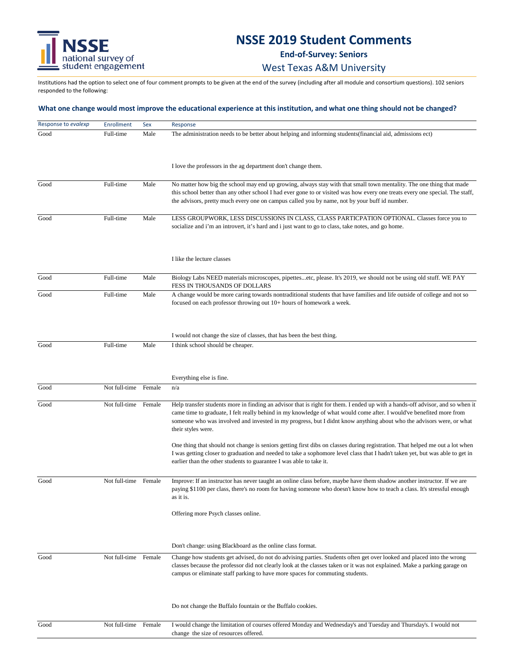

**End-of-Survey: Seniors**

West Texas A&M University

Institutions had the option to select one of four comment prompts to be given at the end of the survey (including after all module and consortium questions). 102 seniors responded to the following:

| Response to evalexp | <b>Enrollment</b>    | Sex    | Response                                                                                                                                                                                                                                                                                                                                                                                                                                                                                                                            |
|---------------------|----------------------|--------|-------------------------------------------------------------------------------------------------------------------------------------------------------------------------------------------------------------------------------------------------------------------------------------------------------------------------------------------------------------------------------------------------------------------------------------------------------------------------------------------------------------------------------------|
| Good                | Full-time            | Male   | The administration needs to be better about helping and informing students (financial aid, admissions ect)                                                                                                                                                                                                                                                                                                                                                                                                                          |
|                     |                      |        | I love the professors in the ag department don't change them.                                                                                                                                                                                                                                                                                                                                                                                                                                                                       |
| Good                | Full-time            | Male   | No matter how big the school may end up growing, always stay with that small town mentality. The one thing that made<br>this school better than any other school I had ever gone to or visited was how every one treats every one special. The staff,<br>the advisors, pretty much every one on campus called you by name, not by your buff id number.                                                                                                                                                                              |
| Good                | Full-time            | Male   | LESS GROUPWORK, LESS DISCUSSIONS IN CLASS, CLASS PARTICPATION OPTIONAL. Classes force you to<br>socialize and i'm an introvert, it's hard and i just want to go to class, take notes, and go home.                                                                                                                                                                                                                                                                                                                                  |
|                     |                      |        | I like the lecture classes                                                                                                                                                                                                                                                                                                                                                                                                                                                                                                          |
| Good                | Full-time            | Male   | Biology Labs NEED materials microscopes, pipettesetc, please. It's 2019, we should not be using old stuff. WE PAY<br>FESS IN THOUSANDS OF DOLLARS                                                                                                                                                                                                                                                                                                                                                                                   |
| Good                | Full-time            | Male   | A change would be more caring towards nontraditional students that have families and life outside of college and not so<br>focused on each professor throwing out 10+ hours of homework a week.                                                                                                                                                                                                                                                                                                                                     |
|                     |                      |        | I would not change the size of classes, that has been the best thing.                                                                                                                                                                                                                                                                                                                                                                                                                                                               |
| Good                | Full-time            | Male   | I think school should be cheaper.                                                                                                                                                                                                                                                                                                                                                                                                                                                                                                   |
|                     |                      |        | Everything else is fine.                                                                                                                                                                                                                                                                                                                                                                                                                                                                                                            |
| Good                | Not full-time Female |        | n/a                                                                                                                                                                                                                                                                                                                                                                                                                                                                                                                                 |
| Good                | Not full-time Female |        | Help transfer students more in finding an advisor that is right for them. I ended up with a hands-off advisor, and so when it<br>came time to graduate, I felt really behind in my knowledge of what would come after. I would've benefited more from<br>someone who was involved and invested in my progress, but I didnt know anything about who the advisors were, or what<br>their styles were.<br>One thing that should not change is seniors getting first dibs on classes during registration. That helped me out a lot when |
|                     |                      |        | I was getting closer to graduation and needed to take a sophomore level class that I hadn't taken yet, but was able to get in<br>earlier than the other students to guarantee I was able to take it.                                                                                                                                                                                                                                                                                                                                |
| Good                | Not full-time Female |        | Improve: If an instructor has never taught an online class before, maybe have them shadow another instructor. If we are<br>paying \$1100 per class, there's no room for having someone who doesn't know how to teach a class. It's stressful enough<br>as it is.                                                                                                                                                                                                                                                                    |
|                     |                      |        | Offering more Psych classes online.                                                                                                                                                                                                                                                                                                                                                                                                                                                                                                 |
|                     |                      |        | Don't change: using Blackboard as the online class format.                                                                                                                                                                                                                                                                                                                                                                                                                                                                          |
| Good                | Not full-time Female |        | Change how students get advised, do not do advising parties. Students often get over looked and placed into the wrong<br>classes because the professor did not clearly look at the classes taken or it was not explained. Make a parking garage on<br>campus or eliminate staff parking to have more spaces for commuting students.                                                                                                                                                                                                 |
|                     |                      |        | Do not change the Buffalo fountain or the Buffalo cookies.                                                                                                                                                                                                                                                                                                                                                                                                                                                                          |
| Good                | Not full-time        | Female | I would change the limitation of courses offered Monday and Wednesday's and Tuesday and Thursday's. I would not<br>change the size of resources offered.                                                                                                                                                                                                                                                                                                                                                                            |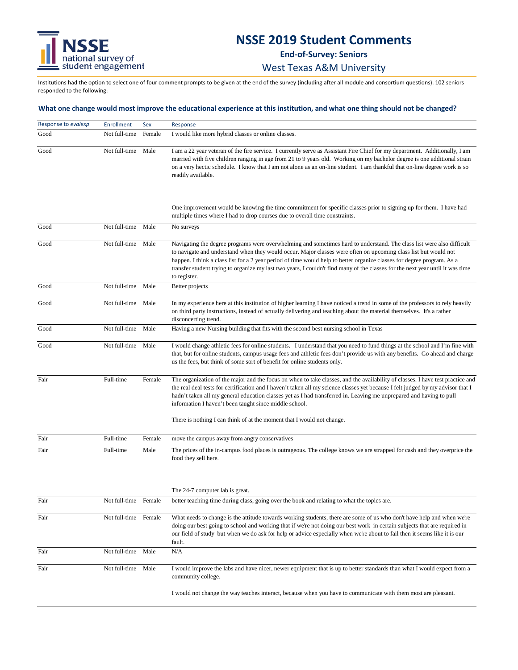## **NSSE 2019 Student Comments**

**End-of-Survey: Seniors**

### West Texas A&M University

Institutions had the option to select one of four comment prompts to be given at the end of the survey (including after all module and consortium questions). 102 seniors responded to the following:

| Response to evalexp | <b>Enrollment</b>    | Sex    | Response                                                                                                                                                                                                                                                                                                                                                                                                                                                                                                                     |
|---------------------|----------------------|--------|------------------------------------------------------------------------------------------------------------------------------------------------------------------------------------------------------------------------------------------------------------------------------------------------------------------------------------------------------------------------------------------------------------------------------------------------------------------------------------------------------------------------------|
| Good                | Not full-time        | Female | I would like more hybrid classes or online classes.                                                                                                                                                                                                                                                                                                                                                                                                                                                                          |
| Good                | Not full-time        | Male   | I am a 22 year veteran of the fire service. I currently serve as Assistant Fire Chief for my department. Additionally, I am<br>married with five children ranging in age from 21 to 9 years old. Working on my bachelor degree is one additional strain<br>on a very hectic schedule. I know that I am not alone as an on-line student. I am thankful that on-line degree work is so<br>readily available.                                                                                                                   |
|                     |                      |        | One improvement would be knowing the time commitment for specific classes prior to signing up for them. I have had<br>multiple times where I had to drop courses due to overall time constraints.                                                                                                                                                                                                                                                                                                                            |
| Good                | Not full-time        | Male   | No surveys                                                                                                                                                                                                                                                                                                                                                                                                                                                                                                                   |
| Good                | Not full-time        | Male   | Navigating the degree programs were overwhelming and sometimes hard to understand. The class list were also difficult<br>to navigate and understand when they would occur. Major classes were often on upcoming class list but would not<br>happen. I think a class list for a 2 year period of time would help to better organize classes for degree program. As a<br>transfer student trying to organize my last two years, I couldn't find many of the classes for the next year until it was time<br>to register.        |
| Good                | Not full-time        | Male   | Better projects                                                                                                                                                                                                                                                                                                                                                                                                                                                                                                              |
| Good                | Not full-time        | Male   | In my experience here at this institution of higher learning I have noticed a trend in some of the professors to rely heavily<br>on third party instructions, instead of actually delivering and teaching about the material themselves. It's a rather<br>disconcerting trend.                                                                                                                                                                                                                                               |
| Good                | Not full-time        | Male   | Having a new Nursing building that fits with the second best nursing school in Texas                                                                                                                                                                                                                                                                                                                                                                                                                                         |
| Good                | Not full-time        | Male   | I would change athletic fees for online students. I understand that you need to fund things at the school and I'm fine with<br>that, but for online students, campus usage fees and athletic fees don't provide us with any benefits. Go ahead and charge<br>us the fees, but think of some sort of benefit for online students only.                                                                                                                                                                                        |
| Fair                | Full-time            | Female | The organization of the major and the focus on when to take classes, and the availability of classes. I have test practice and<br>the real deal tests for certification and I haven't taken all my science classes yet because I felt judged by my advisor that I<br>hadn't taken all my general education classes yet as I had transferred in. Leaving me unprepared and having to pull<br>information I haven't been taught since middle school.<br>There is nothing I can think of at the moment that I would not change. |
|                     |                      |        |                                                                                                                                                                                                                                                                                                                                                                                                                                                                                                                              |
| Fair                | Full-time            | Female | move the campus away from angry conservatives                                                                                                                                                                                                                                                                                                                                                                                                                                                                                |
| Fair                | Full-time            | Male   | The prices of the in-campus food places is outrageous. The college knows we are strapped for cash and they overprice the<br>food they sell here.                                                                                                                                                                                                                                                                                                                                                                             |
|                     |                      |        | The 24-7 computer lab is great.                                                                                                                                                                                                                                                                                                                                                                                                                                                                                              |
| Fair                | Not full-time Female |        | better teaching time during class, going over the book and relating to what the topics are.                                                                                                                                                                                                                                                                                                                                                                                                                                  |
| Fair                | Not full-time Female |        | What needs to change is the attitude towards working students, there are some of us who don't have help and when we're<br>doing our best going to school and working that if we're not doing our best work in certain subjects that are required in<br>our field of study but when we do ask for help or advice especially when we're about to fail then it seems like it is our<br>fault.                                                                                                                                   |
| Fair                | Not full-time        | Male   | N/A                                                                                                                                                                                                                                                                                                                                                                                                                                                                                                                          |
| Fair                | Not full-time Male   |        | I would improve the labs and have nicer, newer equipment that is up to better standards than what I would expect from a<br>community college.                                                                                                                                                                                                                                                                                                                                                                                |
|                     |                      |        | I would not change the way teaches interact, because when you have to communicate with them most are pleasant.                                                                                                                                                                                                                                                                                                                                                                                                               |